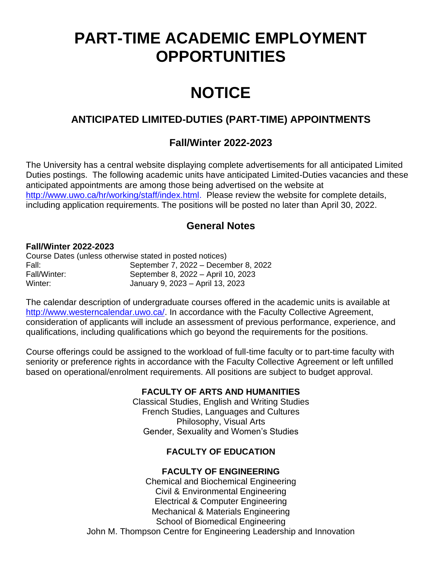# **PART-TIME ACADEMIC EMPLOYMENT OPPORTUNITIES**

# **NOTICE**

# **ANTICIPATED LIMITED-DUTIES (PART-TIME) APPOINTMENTS**

## **Fall/Winter 2022-2023**

The University has a central website displaying complete advertisements for all anticipated Limited Duties postings. The following academic units have anticipated Limited-Duties vacancies and these anticipated appointments are among those being advertised on the website at [http://www.uwo.ca/hr/working/staff/index.html.](http://www.uwo.ca/hr/working/staff/index.html) Please review the website for complete details, including application requirements. The positions will be posted no later than April 30, 2022.

## **General Notes**

### **Fall/Winter 2022-2023**

| Course Dates (unless otherwise stated in posted notices) |                                      |
|----------------------------------------------------------|--------------------------------------|
| Fall:                                                    | September 7, 2022 - December 8, 2022 |
| Fall/Winter:                                             | September 8, 2022 - April 10, 2023   |
| Winter:                                                  | January 9, 2023 – April 13, 2023     |

The calendar description of undergraduate courses offered in the academic units is available at [http://www.westerncalendar.uwo.ca/.](http://www.westerncalendar.uwo.ca/) In accordance with the Faculty Collective Agreement, consideration of applicants will include an assessment of previous performance, experience, and qualifications, including qualifications which go beyond the requirements for the positions.

Course offerings could be assigned to the workload of full-time faculty or to part-time faculty with seniority or preference rights in accordance with the Faculty Collective Agreement or left unfilled based on operational/enrolment requirements. All positions are subject to budget approval.

## **FACULTY OF ARTS AND HUMANITIES**

Classical Studies, English and Writing Studies French Studies, Languages and Cultures Philosophy, Visual Arts Gender, Sexuality and Women's Studies

## **FACULTY OF EDUCATION**

## **FACULTY OF ENGINEERING**

Chemical and Biochemical Engineering Civil & Environmental Engineering Electrical & Computer Engineering Mechanical & Materials Engineering School of Biomedical Engineering John M. Thompson Centre for Engineering Leadership and Innovation